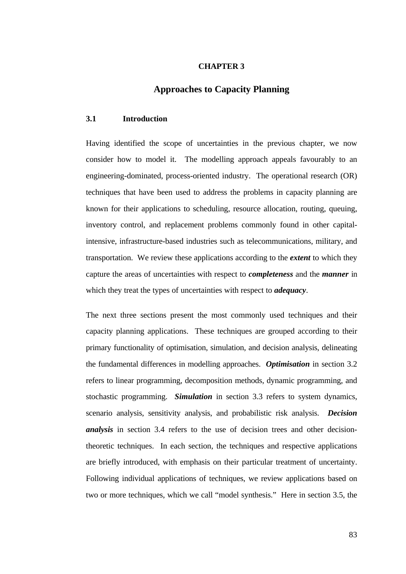# **CHAPTER 3**

# **Approaches to Capacity Planning**

## **3.1 Introduction**

Having identified the scope of uncertainties in the previous chapter, we now consider how to model it. The modelling approach appeals favourably to an engineering-dominated, process-oriented industry. The operational research (OR) techniques that have been used to address the problems in capacity planning are known for their applications to scheduling, resource allocation, routing, queuing, inventory control, and replacement problems commonly found in other capitalintensive, infrastructure-based industries such as telecommunications, military, and transportation. We review these applications according to the *extent* to which they capture the areas of uncertainties with respect to *completeness* and the *manner* in which they treat the types of uncertainties with respect to *adequacy*.

The next three sections present the most commonly used techniques and their capacity planning applications. These techniques are grouped according to their primary functionality of optimisation, simulation, and decision analysis, delineating the fundamental differences in modelling approaches. *Optimisation* in section 3.2 refers to linear programming, decomposition methods, dynamic programming, and stochastic programming. *Simulation* in section 3.3 refers to system dynamics, scenario analysis, sensitivity analysis, and probabilistic risk analysis. *Decision analysis* in section 3.4 refers to the use of decision trees and other decisiontheoretic techniques. In each section, the techniques and respective applications are briefly introduced, with emphasis on their particular treatment of uncertainty. Following individual applications of techniques, we review applications based on two or more techniques, which we call "model synthesis." Here in section 3.5, the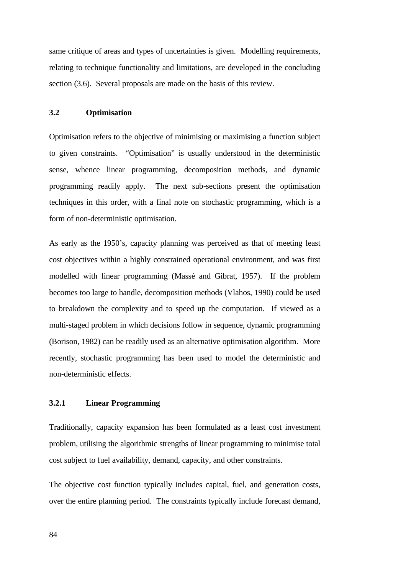same critique of areas and types of uncertainties is given. Modelling requirements, relating to technique functionality and limitations, are developed in the concluding section (3.6). Several proposals are made on the basis of this review.

# **3.2 Optimisation**

Optimisation refers to the objective of minimising or maximising a function subject to given constraints. "Optimisation" is usually understood in the deterministic sense, whence linear programming, decomposition methods, and dynamic programming readily apply. The next sub-sections present the optimisation techniques in this order, with a final note on stochastic programming, which is a form of non-deterministic optimisation.

As early as the 1950's, capacity planning was perceived as that of meeting least cost objectives within a highly constrained operational environment, and was first modelled with linear programming (Massé and Gibrat, 1957). If the problem becomes too large to handle, decomposition methods (Vlahos, 1990) could be used to breakdown the complexity and to speed up the computation. If viewed as a multi-staged problem in which decisions follow in sequence, dynamic programming (Borison, 1982) can be readily used as an alternative optimisation algorithm. More recently, stochastic programming has been used to model the deterministic and non-deterministic effects.

# **3.2.1 Linear Programming**

Traditionally, capacity expansion has been formulated as a least cost investment problem, utilising the algorithmic strengths of linear programming to minimise total cost subject to fuel availability, demand, capacity, and other constraints.

The objective cost function typically includes capital, fuel, and generation costs, over the entire planning period. The constraints typically include forecast demand,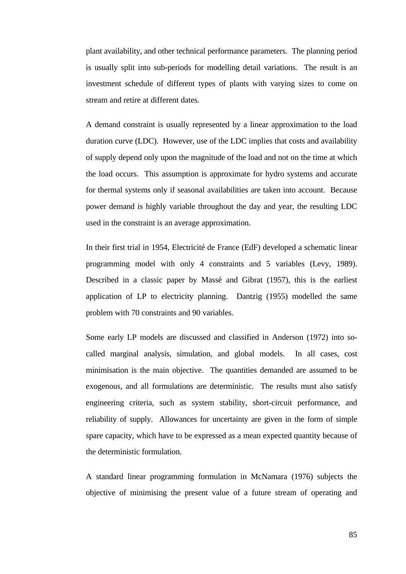plant availability, and other technical performance parameters. The planning period is usually split into sub-periods for modelling detail variations. The result is an investment schedule of different types of plants with varying sizes to come on stream and retire at different dates.

A demand constraint is usually represented by a linear approximation to the load duration curve (LDC). However, use of the LDC implies that costs and availability of supply depend only upon the magnitude of the load and not on the time at which the load occurs. This assumption is approximate for hydro systems and accurate for thermal systems only if seasonal availabilities are taken into account. Because power demand is highly variable throughout the day and year, the resulting LDC used in the constraint is an average approximation.

In their first trial in 1954, Electricité de France (EdF) developed a schematic linear programming model with only 4 constraints and 5 variables (Levy, 1989). Described in a classic paper by Massé and Gibrat (1957), this is the earliest application of LP to electricity planning. Dantzig (1955) modelled the same problem with 70 constraints and 90 variables.

Some early LP models are discussed and classified in Anderson (1972) into socalled marginal analysis, simulation, and global models. In all cases, cost minimisation is the main objective. The quantities demanded are assumed to be exogenous, and all formulations are deterministic. The results must also satisfy engineering criteria, such as system stability, short-circuit performance, and reliability of supply. Allowances for uncertainty are given in the form of simple spare capacity, which have to be expressed as a mean expected quantity because of the deterministic formulation.

A standard linear programming formulation in McNamara (1976) subjects the objective of minimising the present value of a future stream of operating and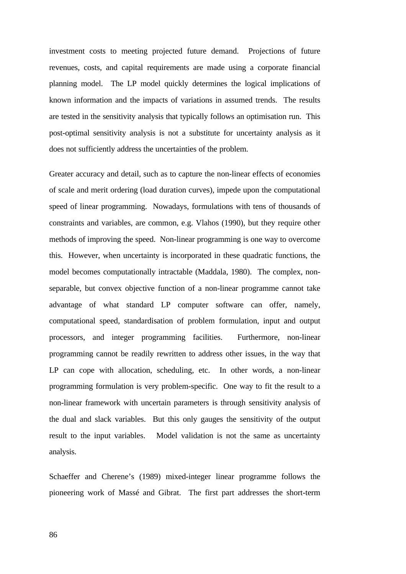investment costs to meeting projected future demand. Projections of future revenues, costs, and capital requirements are made using a corporate financial planning model. The LP model quickly determines the logical implications of known information and the impacts of variations in assumed trends.The results are tested in the sensitivity analysis that typically follows an optimisation run. This post-optimal sensitivity analysis is not a substitute for uncertainty analysis as it does not sufficiently address the uncertainties of the problem.

Greater accuracy and detail, such as to capture the non-linear effects of economies of scale and merit ordering (load duration curves), impede upon the computational speed of linear programming. Nowadays, formulations with tens of thousands of constraints and variables, are common, e.g. Vlahos (1990), but they require other methods of improving the speed. Non-linear programming is one way to overcome this. However, when uncertainty is incorporated in these quadratic functions, the model becomes computationally intractable (Maddala, 1980). The complex, nonseparable, but convex objective function of a non-linear programme cannot take advantage of what standard LP computer software can offer, namely, computational speed, standardisation of problem formulation, input and output processors, and integer programming facilities. Furthermore, non-linear programming cannot be readily rewritten to address other issues, in the way that LP can cope with allocation, scheduling, etc. In other words, a non-linear programming formulation is very problem-specific. One way to fit the result to a non-linear framework with uncertain parameters is through sensitivity analysis of the dual and slack variables. But this only gauges the sensitivity of the output result to the input variables. Model validation is not the same as uncertainty analysis.

Schaeffer and Cherene's (1989) mixed-integer linear programme follows the pioneering work of Massé and Gibrat. The first part addresses the short-term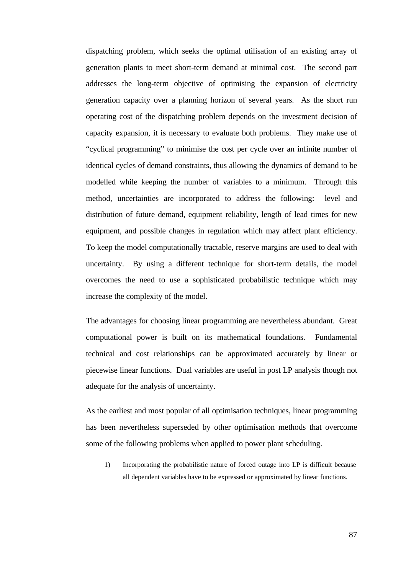dispatching problem, which seeks the optimal utilisation of an existing array of generation plants to meet short-term demand at minimal cost. The second part addresses the long-term objective of optimising the expansion of electricity generation capacity over a planning horizon of several years. As the short run operating cost of the dispatching problem depends on the investment decision of capacity expansion, it is necessary to evaluate both problems. They make use of "cyclical programming" to minimise the cost per cycle over an infinite number of identical cycles of demand constraints, thus allowing the dynamics of demand to be modelled while keeping the number of variables to a minimum. Through this method, uncertainties are incorporated to address the following: level and distribution of future demand, equipment reliability, length of lead times for new equipment, and possible changes in regulation which may affect plant efficiency. To keep the model computationally tractable, reserve margins are used to deal with uncertainty. By using a different technique for short-term details, the model overcomes the need to use a sophisticated probabilistic technique which may increase the complexity of the model.

The advantages for choosing linear programming are nevertheless abundant. Great computational power is built on its mathematical foundations. Fundamental technical and cost relationships can be approximated accurately by linear or piecewise linear functions. Dual variables are useful in post LP analysis though not adequate for the analysis of uncertainty.

As the earliest and most popular of all optimisation techniques, linear programming has been nevertheless superseded by other optimisation methods that overcome some of the following problems when applied to power plant scheduling.

1) Incorporating the probabilistic nature of forced outage into LP is difficult because all dependent variables have to be expressed or approximated by linear functions.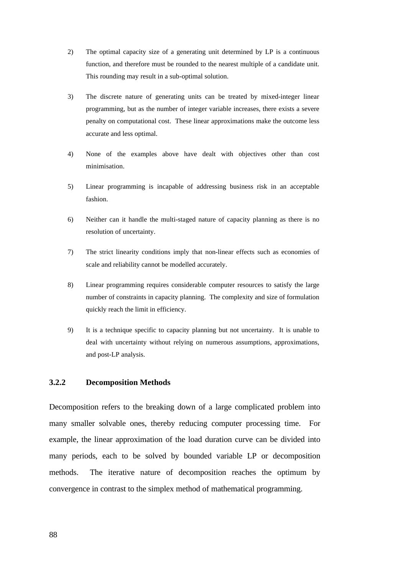- 2) The optimal capacity size of a generating unit determined by LP is a continuous function, and therefore must be rounded to the nearest multiple of a candidate unit. This rounding may result in a sub-optimal solution.
- 3) The discrete nature of generating units can be treated by mixed-integer linear programming, but as the number of integer variable increases, there exists a severe penalty on computational cost. These linear approximations make the outcome less accurate and less optimal.
- 4) None of the examples above have dealt with objectives other than cost minimisation.
- 5) Linear programming is incapable of addressing business risk in an acceptable fashion.
- 6) Neither can it handle the multi-staged nature of capacity planning as there is no resolution of uncertainty.
- 7) The strict linearity conditions imply that non-linear effects such as economies of scale and reliability cannot be modelled accurately.
- 8) Linear programming requires considerable computer resources to satisfy the large number of constraints in capacity planning. The complexity and size of formulation quickly reach the limit in efficiency.
- 9) It is a technique specific to capacity planning but not uncertainty. It is unable to deal with uncertainty without relying on numerous assumptions, approximations, and post-LP analysis.

## **3.2.2 Decomposition Methods**

Decomposition refers to the breaking down of a large complicated problem into many smaller solvable ones, thereby reducing computer processing time. For example, the linear approximation of the load duration curve can be divided into many periods, each to be solved by bounded variable LP or decomposition methods. The iterative nature of decomposition reaches the optimum by convergence in contrast to the simplex method of mathematical programming.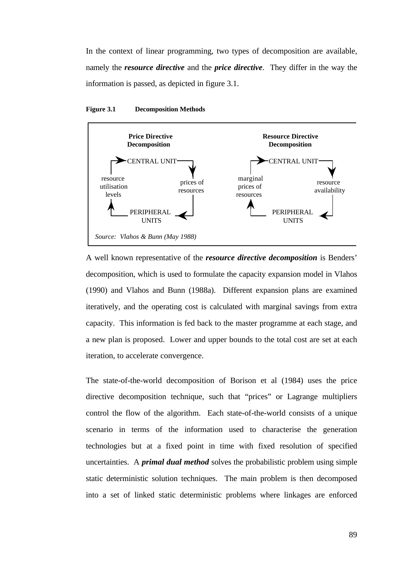In the context of linear programming, two types of decomposition are available, namely the *resource directive* and the *price directive*. They differ in the way the information is passed, as depicted in figure 3.1.



#### **Figure 3.1 Decomposition Methods**

A well known representative of the *resource directive decomposition* is Benders' decomposition, which is used to formulate the capacity expansion model in Vlahos (1990) and Vlahos and Bunn (1988a). Different expansion plans are examined iteratively, and the operating cost is calculated with marginal savings from extra capacity. This information is fed back to the master programme at each stage, and a new plan is proposed. Lower and upper bounds to the total cost are set at each iteration, to accelerate convergence.

The state-of-the-world decomposition of Borison et al (1984) uses the price directive decomposition technique, such that "prices" or Lagrange multipliers control the flow of the algorithm. Each state-of-the-world consists of a unique scenario in terms of the information used to characterise the generation technologies but at a fixed point in time with fixed resolution of specified uncertainties. A *primal dual method* solves the probabilistic problem using simple static deterministic solution techniques. The main problem is then decomposed into a set of linked static deterministic problems where linkages are enforced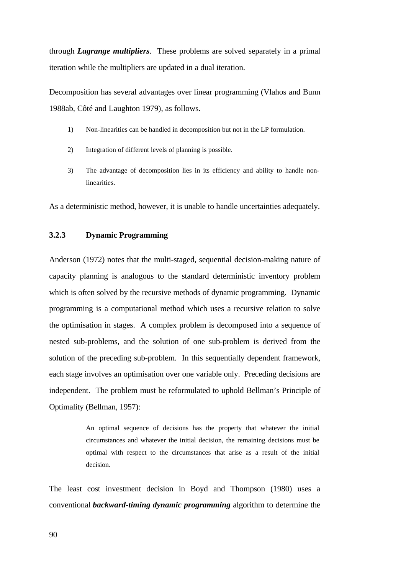through *Lagrange multipliers*. These problems are solved separately in a primal iteration while the multipliers are updated in a dual iteration.

Decomposition has several advantages over linear programming (Vlahos and Bunn 1988ab, Côté and Laughton 1979), as follows.

- 1) Non-linearities can be handled in decomposition but not in the LP formulation.
- 2) Integration of different levels of planning is possible.
- 3) The advantage of decomposition lies in its efficiency and ability to handle nonlinearities.

As a deterministic method, however, it is unable to handle uncertainties adequately.

# **3.2.3 Dynamic Programming**

Anderson (1972) notes that the multi-staged, sequential decision-making nature of capacity planning is analogous to the standard deterministic inventory problem which is often solved by the recursive methods of dynamic programming. Dynamic programming is a computational method which uses a recursive relation to solve the optimisation in stages. A complex problem is decomposed into a sequence of nested sub-problems, and the solution of one sub-problem is derived from the solution of the preceding sub-problem. In this sequentially dependent framework, each stage involves an optimisation over one variable only. Preceding decisions are independent. The problem must be reformulated to uphold Bellman's Principle of Optimality (Bellman, 1957):

> An optimal sequence of decisions has the property that whatever the initial circumstances and whatever the initial decision, the remaining decisions must be optimal with respect to the circumstances that arise as a result of the initial decision.

The least cost investment decision in Boyd and Thompson (1980) uses a conventional *backward-timing dynamic programming* algorithm to determine the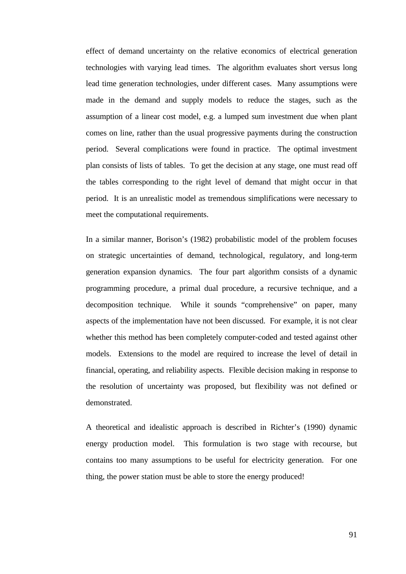effect of demand uncertainty on the relative economics of electrical generation technologies with varying lead times. The algorithm evaluates short versus long lead time generation technologies, under different cases. Many assumptions were made in the demand and supply models to reduce the stages, such as the assumption of a linear cost model, e.g. a lumped sum investment due when plant comes on line, rather than the usual progressive payments during the construction period. Several complications were found in practice. The optimal investment plan consists of lists of tables. To get the decision at any stage, one must read off the tables corresponding to the right level of demand that might occur in that period. It is an unrealistic model as tremendous simplifications were necessary to meet the computational requirements.

In a similar manner, Borison's (1982) probabilistic model of the problem focuses on strategic uncertainties of demand, technological, regulatory, and long-term generation expansion dynamics. The four part algorithm consists of a dynamic programming procedure, a primal dual procedure, a recursive technique, and a decomposition technique. While it sounds "comprehensive" on paper, many aspects of the implementation have not been discussed. For example, it is not clear whether this method has been completely computer-coded and tested against other models. Extensions to the model are required to increase the level of detail in financial, operating, and reliability aspects. Flexible decision making in response to the resolution of uncertainty was proposed, but flexibility was not defined or demonstrated.

A theoretical and idealistic approach is described in Richter's (1990) dynamic energy production model. This formulation is two stage with recourse, but contains too many assumptions to be useful for electricity generation. For one thing, the power station must be able to store the energy produced!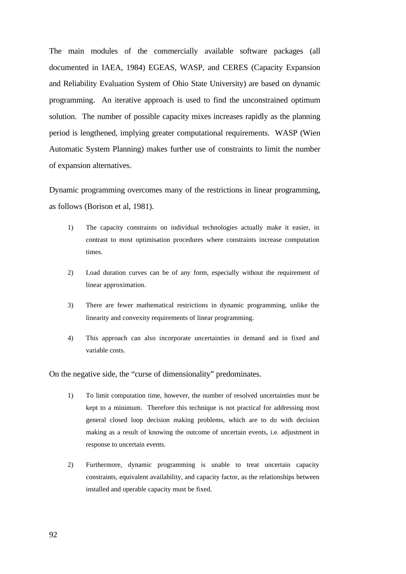The main modules of the commercially available software packages (all documented in IAEA, 1984) EGEAS, WASP, and CERES (Capacity Expansion and Reliability Evaluation System of Ohio State University) are based on dynamic programming. An iterative approach is used to find the unconstrained optimum solution. The number of possible capacity mixes increases rapidly as the planning period is lengthened, implying greater computational requirements. WASP (Wien Automatic System Planning) makes further use of constraints to limit the number of expansion alternatives.

Dynamic programming overcomes many of the restrictions in linear programming, as follows (Borison et al, 1981).

- 1) The capacity constraints on individual technologies actually make it easier, in contrast to most optimisation procedures where constraints increase computation times.
- 2) Load duration curves can be of any form, especially without the requirement of linear approximation.
- 3) There are fewer mathematical restrictions in dynamic programming, unlike the linearity and convexity requirements of linear programming.
- 4) This approach can also incorporate uncertainties in demand and in fixed and variable costs.

On the negative side, the "curse of dimensionality" predominates.

- 1) To limit computation time, however, the number of resolved uncertainties must be kept to a minimum. Therefore this technique is not practical for addressing most general closed loop decision making problems, which are to do with decision making as a result of knowing the outcome of uncertain events, i.e. adjustment in response to uncertain events.
- 2) Furthermore, dynamic programming is unable to treat uncertain capacity constraints, equivalent availability, and capacity factor, as the relationships between installed and operable capacity must be fixed.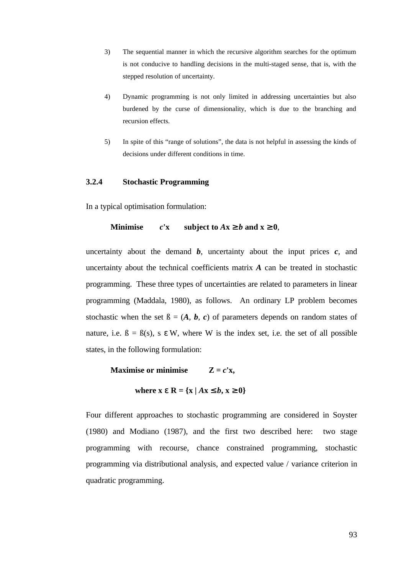- 3) The sequential manner in which the recursive algorithm searches for the optimum is not conducive to handling decisions in the multi-staged sense, that is, with the stepped resolution of uncertainty.
- 4) Dynamic programming is not only limited in addressing uncertainties but also burdened by the curse of dimensionality, which is due to the branching and recursion effects.
- 5) In spite of this "range of solutions", the data is not helpful in assessing the kinds of decisions under different conditions in time.

# **3.2.4 Stochastic Programming**

In a typical optimisation formulation:

## **Minimise**  $c'x$  **subject to**  $Ax \ge b$  **and**  $x \ge 0$ ,

uncertainty about the demand  $\boldsymbol{b}$ , uncertainty about the input prices  $\boldsymbol{c}$ , and uncertainty about the technical coefficients matrix *A* can be treated in stochastic programming. These three types of uncertainties are related to parameters in linear programming (Maddala, 1980), as follows. An ordinary LP problem becomes stochastic when the set  $\beta = (A, b, c)$  of parameters depends on random states of nature, i.e.  $\beta = \beta(s)$ , s  $\epsilon$  W, where W is the index set, i.e. the set of all possible states, in the following formulation:

**Maximise or minimise**  $Z = c^{\dagger}x$ ,

where 
$$
x \in R = \{x \mid Ax \leq b, x \geq 0\}
$$

Four different approaches to stochastic programming are considered in Soyster (1980) and Modiano (1987), and the first two described here: two stage programming with recourse, chance constrained programming, stochastic programming via distributional analysis, and expected value / variance criterion in quadratic programming.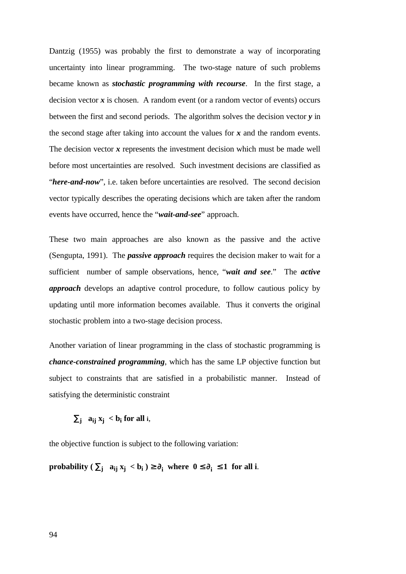Dantzig (1955) was probably the first to demonstrate a way of incorporating uncertainty into linear programming. The two-stage nature of such problems became known as *stochastic programming with recourse*. In the first stage, a decision vector  $x$  is chosen. A random event (or a random vector of events) occurs between the first and second periods. The algorithm solves the decision vector  $\bf{v}$  in the second stage after taking into account the values for *x* and the random events. The decision vector x represents the investment decision which must be made well before most uncertainties are resolved. Such investment decisions are classified as "*here-and-now*", i.e. taken before uncertainties are resolved. The second decision vector typically describes the operating decisions which are taken after the random events have occurred, hence the "*wait-and-see*" approach.

These two main approaches are also known as the passive and the active (Sengupta, 1991). The *passive approach* requires the decision maker to wait for a sufficient number of sample observations, hence, "*wait and see*." The *active approach* develops an adaptive control procedure, to follow cautious policy by updating until more information becomes available. Thus it converts the original stochastic problem into a two-stage decision process.

Another variation of linear programming in the class of stochastic programming is *chance-constrained programming*, which has the same LP objective function but subject to constraints that are satisfied in a probabilistic manner. Instead of satisfying the deterministic constraint

 $\sum_{\mathbf{j}}$  **a**<sub>**i**</sub> **x**<sub>**j**</sub> < **b**<sub>**i**</sub> for all **i**,

the objective function is subject to the following variation:

**probability** ( $\Sigma_j$  **a**<sub>ij</sub>  $x_j < b_i$ )  $\geq \partial_i$  where  $0 \leq \partial_i \leq 1$  for all i.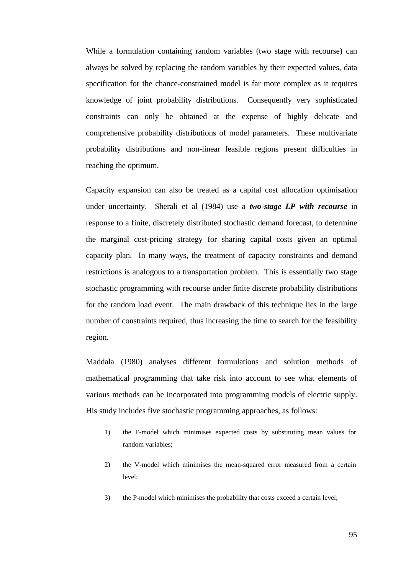While a formulation containing random variables (two stage with recourse) can always be solved by replacing the random variables by their expected values, data specification for the chance-constrained model is far more complex as it requires knowledge of joint probability distributions. Consequently very sophisticated constraints can only be obtained at the expense of highly delicate and comprehensive probability distributions of model parameters. These multivariate probability distributions and non-linear feasible regions present difficulties in reaching the optimum.

Capacity expansion can also be treated as a capital cost allocation optimisation under uncertainty. Sherali et al (1984) use a *two-stage LP with recourse* in response to a finite, discretely distributed stochastic demand forecast, to determine the marginal cost-pricing strategy for sharing capital costs given an optimal capacity plan. In many ways, the treatment of capacity constraints and demand restrictions is analogous to a transportation problem. This is essentially two stage stochastic programming with recourse under finite discrete probability distributions for the random load event. The main drawback of this technique lies in the large number of constraints required, thus increasing the time to search for the feasibility region.

Maddala (1980) analyses different formulations and solution methods of mathematical programming that take risk into account to see what elements of various methods can be incorporated into programming models of electric supply. His study includes five stochastic programming approaches, as follows:

- 1) the E-model which minimises expected costs by substituting mean values for random variables;
- 2) the V-model which minimises the mean-squared error measured from a certain level;
- 3) the P-model which minimises the probability that costs exceed a certain level;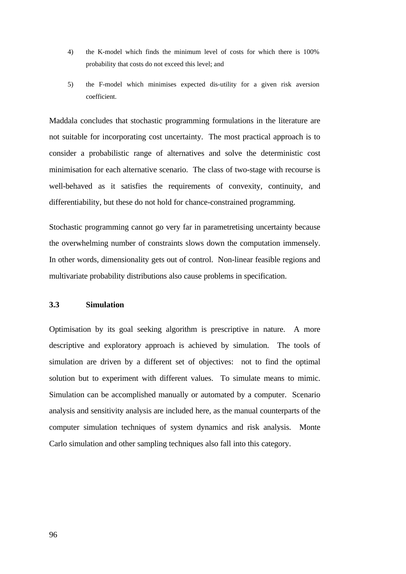- 4) the K-model which finds the minimum level of costs for which there is 100% probability that costs do not exceed this level; and
- 5) the F-model which minimises expected dis-utility for a given risk aversion coefficient.

Maddala concludes that stochastic programming formulations in the literature are not suitable for incorporating cost uncertainty. The most practical approach is to consider a probabilistic range of alternatives and solve the deterministic cost minimisation for each alternative scenario. The class of two-stage with recourse is well-behaved as it satisfies the requirements of convexity, continuity, and differentiability, but these do not hold for chance-constrained programming.

Stochastic programming cannot go very far in parametretising uncertainty because the overwhelming number of constraints slows down the computation immensely. In other words, dimensionality gets out of control. Non-linear feasible regions and multivariate probability distributions also cause problems in specification.

# **3.3 Simulation**

Optimisation by its goal seeking algorithm is prescriptive in nature. A more descriptive and exploratory approach is achieved by simulation. The tools of simulation are driven by a different set of objectives: not to find the optimal solution but to experiment with different values. To simulate means to mimic. Simulation can be accomplished manually or automated by a computer. Scenario analysis and sensitivity analysis are included here, as the manual counterparts of the computer simulation techniques of system dynamics and risk analysis. Monte Carlo simulation and other sampling techniques also fall into this category.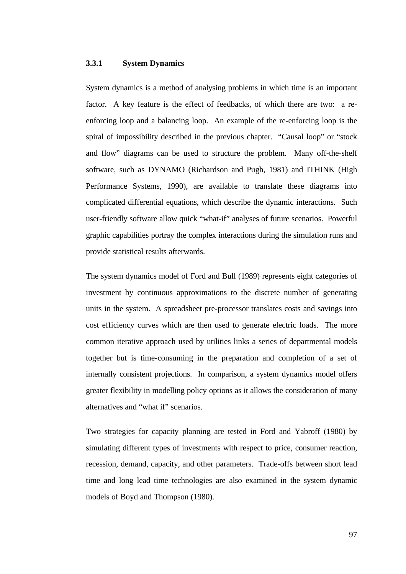# **3.3.1 System Dynamics**

System dynamics is a method of analysing problems in which time is an important factor. A key feature is the effect of feedbacks, of which there are two: a reenforcing loop and a balancing loop. An example of the re-enforcing loop is the spiral of impossibility described in the previous chapter. "Causal loop" or "stock and flow" diagrams can be used to structure the problem. Many off-the-shelf software, such as DYNAMO (Richardson and Pugh, 1981) and ITHINK (High Performance Systems, 1990), are available to translate these diagrams into complicated differential equations, which describe the dynamic interactions. Such user-friendly software allow quick "what-if" analyses of future scenarios. Powerful graphic capabilities portray the complex interactions during the simulation runs and provide statistical results afterwards.

The system dynamics model of Ford and Bull (1989) represents eight categories of investment by continuous approximations to the discrete number of generating units in the system. A spreadsheet pre-processor translates costs and savings into cost efficiency curves which are then used to generate electric loads. The more common iterative approach used by utilities links a series of departmental models together but is time-consuming in the preparation and completion of a set of internally consistent projections. In comparison, a system dynamics model offers greater flexibility in modelling policy options as it allows the consideration of many alternatives and "what if" scenarios.

Two strategies for capacity planning are tested in Ford and Yabroff (1980) by simulating different types of investments with respect to price, consumer reaction, recession, demand, capacity, and other parameters. Trade-offs between short lead time and long lead time technologies are also examined in the system dynamic models of Boyd and Thompson (1980).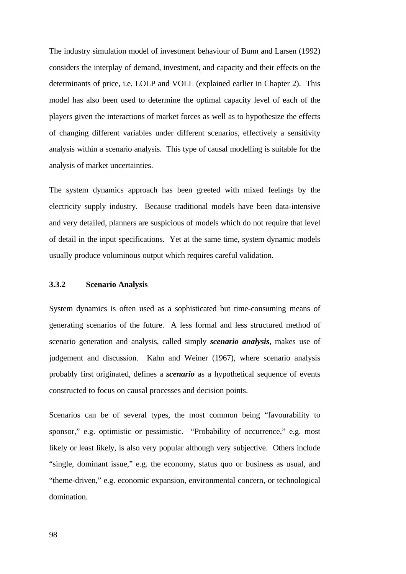The industry simulation model of investment behaviour of Bunn and Larsen (1992) considers the interplay of demand, investment, and capacity and their effects on the determinants of price, i.e. LOLP and VOLL (explained earlier in Chapter 2). This model has also been used to determine the optimal capacity level of each of the players given the interactions of market forces as well as to hypothesize the effects of changing different variables under different scenarios, effectively a sensitivity analysis within a scenario analysis. This type of causal modelling is suitable for the analysis of market uncertainties.

The system dynamics approach has been greeted with mixed feelings by the electricity supply industry. Because traditional models have been data-intensive and very detailed, planners are suspicious of models which do not require that level of detail in the input specifications. Yet at the same time, system dynamic models usually produce voluminous output which requires careful validation.

## **3.3.2 Scenario Analysis**

System dynamics is often used as a sophisticated but time-consuming means of generating scenarios of the future. A less formal and less structured method of scenario generation and analysis, called simply *scenario analysis*, makes use of judgement and discussion. Kahn and Weiner (1967), where scenario analysis probably first originated, defines a *scenario* as a hypothetical sequence of events constructed to focus on causal processes and decision points.

Scenarios can be of several types, the most common being "favourability to sponsor," e.g. optimistic or pessimistic. "Probability of occurrence," e.g. most likely or least likely, is also very popular although very subjective. Others include "single, dominant issue," e.g. the economy, status quo or business as usual, and "theme-driven," e.g. economic expansion, environmental concern, or technological domination.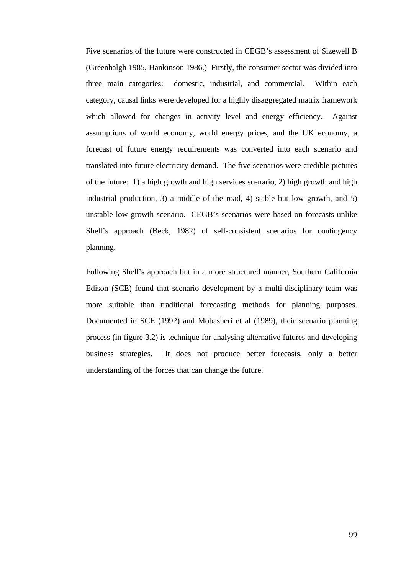Five scenarios of the future were constructed in CEGB's assessment of Sizewell B (Greenhalgh 1985, Hankinson 1986.) Firstly, the consumer sector was divided into three main categories: domestic, industrial, and commercial. Within each category, causal links were developed for a highly disaggregated matrix framework which allowed for changes in activity level and energy efficiency. Against assumptions of world economy, world energy prices, and the UK economy, a forecast of future energy requirements was converted into each scenario and translated into future electricity demand. The five scenarios were credible pictures of the future: 1) a high growth and high services scenario, 2) high growth and high industrial production, 3) a middle of the road, 4) stable but low growth, and 5) unstable low growth scenario. CEGB's scenarios were based on forecasts unlike Shell's approach (Beck, 1982) of self-consistent scenarios for contingency planning.

Following Shell's approach but in a more structured manner, Southern California Edison (SCE) found that scenario development by a multi-disciplinary team was more suitable than traditional forecasting methods for planning purposes. Documented in SCE (1992) and Mobasheri et al (1989), their scenario planning process (in figure 3.2) is technique for analysing alternative futures and developing business strategies. It does not produce better forecasts, only a better understanding of the forces that can change the future.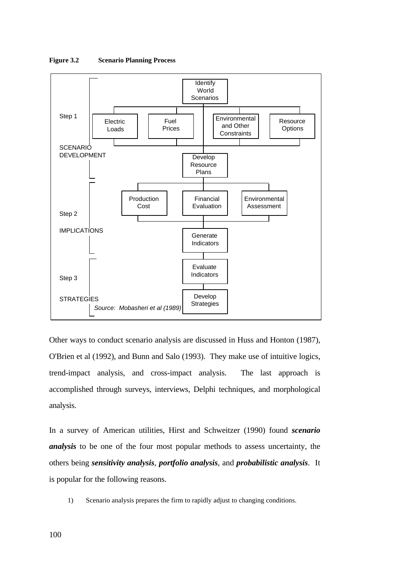

**Figure 3.2 Scenario Planning Process**

Other ways to conduct scenario analysis are discussed in Huss and Honton (1987), O'Brien et al (1992), and Bunn and Salo (1993). They make use of intuitive logics, trend-impact analysis, and cross-impact analysis. The last approach is accomplished through surveys, interviews, Delphi techniques, and morphological analysis.

In a survey of American utilities, Hirst and Schweitzer (1990) found *scenario analysis* to be one of the four most popular methods to assess uncertainty, the others being *sensitivity analysis*, *portfolio analysis*, and *probabilistic analysis*. It is popular for the following reasons.

1) Scenario analysis prepares the firm to rapidly adjust to changing conditions.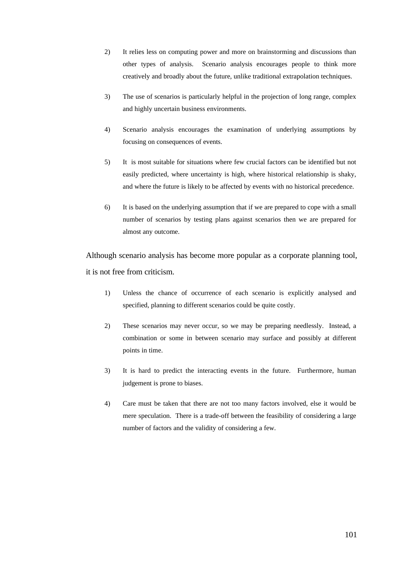- 2) It relies less on computing power and more on brainstorming and discussions than other types of analysis. Scenario analysis encourages people to think more creatively and broadly about the future, unlike traditional extrapolation techniques.
- 3) The use of scenarios is particularly helpful in the projection of long range, complex and highly uncertain business environments.
- 4) Scenario analysis encourages the examination of underlying assumptions by focusing on consequences of events.
- 5) It is most suitable for situations where few crucial factors can be identified but not easily predicted, where uncertainty is high, where historical relationship is shaky, and where the future is likely to be affected by events with no historical precedence.
- 6) It is based on the underlying assumption that if we are prepared to cope with a small number of scenarios by testing plans against scenarios then we are prepared for almost any outcome.

Although scenario analysis has become more popular as a corporate planning tool, it is not free from criticism.

- 1) Unless the chance of occurrence of each scenario is explicitly analysed and specified, planning to different scenarios could be quite costly.
- 2) These scenarios may never occur, so we may be preparing needlessly. Instead, a combination or some in between scenario may surface and possibly at different points in time.
- 3) It is hard to predict the interacting events in the future. Furthermore, human judgement is prone to biases.
- 4) Care must be taken that there are not too many factors involved, else it would be mere speculation. There is a trade-off between the feasibility of considering a large number of factors and the validity of considering a few.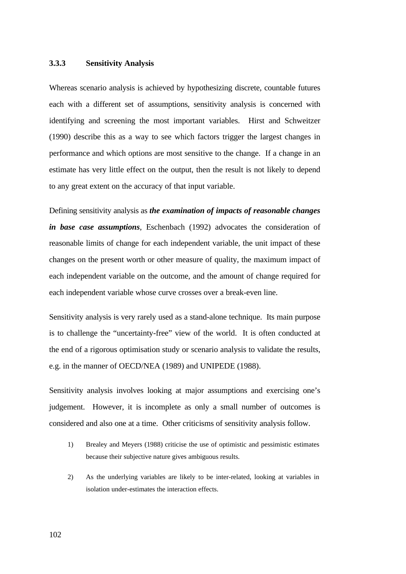## **3.3.3 Sensitivity Analysis**

Whereas scenario analysis is achieved by hypothesizing discrete, countable futures each with a different set of assumptions, sensitivity analysis is concerned with identifying and screening the most important variables. Hirst and Schweitzer (1990) describe this as a way to see which factors trigger the largest changes in performance and which options are most sensitive to the change. If a change in an estimate has very little effect on the output, then the result is not likely to depend to any great extent on the accuracy of that input variable.

Defining sensitivity analysis as *the examination of impacts of reasonable changes in base case assumptions*, Eschenbach (1992) advocates the consideration of reasonable limits of change for each independent variable, the unit impact of these changes on the present worth or other measure of quality, the maximum impact of each independent variable on the outcome, and the amount of change required for each independent variable whose curve crosses over a break-even line.

Sensitivity analysis is very rarely used as a stand-alone technique. Its main purpose is to challenge the "uncertainty-free" view of the world. It is often conducted at the end of a rigorous optimisation study or scenario analysis to validate the results, e.g. in the manner of OECD/NEA (1989) and UNIPEDE (1988).

Sensitivity analysis involves looking at major assumptions and exercising one's judgement. However, it is incomplete as only a small number of outcomes is considered and also one at a time. Other criticisms of sensitivity analysis follow.

- 1) Brealey and Meyers (1988) criticise the use of optimistic and pessimistic estimates because their subjective nature gives ambiguous results.
- 2) As the underlying variables are likely to be inter-related, looking at variables in isolation under-estimates the interaction effects.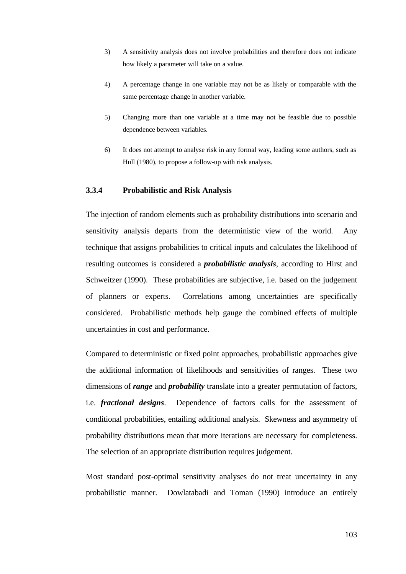- 3) A sensitivity analysis does not involve probabilities and therefore does not indicate how likely a parameter will take on a value.
- 4) A percentage change in one variable may not be as likely or comparable with the same percentage change in another variable.
- 5) Changing more than one variable at a time may not be feasible due to possible dependence between variables.
- 6) It does not attempt to analyse risk in any formal way, leading some authors, such as Hull (1980), to propose a follow-up with risk analysis.

# **3.3.4 Probabilistic and Risk Analysis**

The injection of random elements such as probability distributions into scenario and sensitivity analysis departs from the deterministic view of the world. Any technique that assigns probabilities to critical inputs and calculates the likelihood of resulting outcomes is considered a *probabilistic analysis*, according to Hirst and Schweitzer (1990). These probabilities are subjective, i.e. based on the judgement of planners or experts. Correlations among uncertainties are specifically considered. Probabilistic methods help gauge the combined effects of multiple uncertainties in cost and performance.

Compared to deterministic or fixed point approaches, probabilistic approaches give the additional information of likelihoods and sensitivities of ranges. These two dimensions of *range* and *probability* translate into a greater permutation of factors, i.e. *fractional designs*. Dependence of factors calls for the assessment of conditional probabilities, entailing additional analysis. Skewness and asymmetry of probability distributions mean that more iterations are necessary for completeness. The selection of an appropriate distribution requires judgement.

Most standard post-optimal sensitivity analyses do not treat uncertainty in any probabilistic manner. Dowlatabadi and Toman (1990) introduce an entirely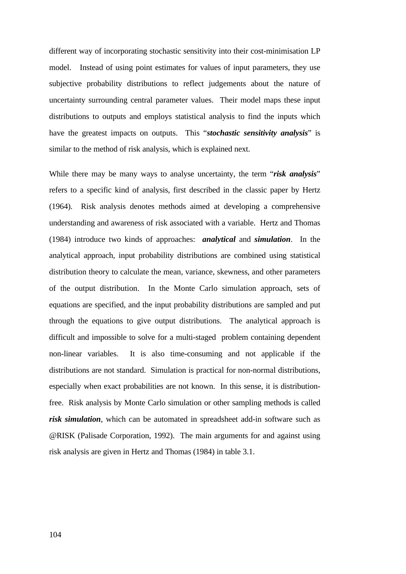different way of incorporating stochastic sensitivity into their cost-minimisation LP model. Instead of using point estimates for values of input parameters, they use subjective probability distributions to reflect judgements about the nature of uncertainty surrounding central parameter values. Their model maps these input distributions to outputs and employs statistical analysis to find the inputs which have the greatest impacts on outputs. This "*stochastic sensitivity analysis*" is similar to the method of risk analysis, which is explained next.

While there may be many ways to analyse uncertainty, the term "*risk analysis*" refers to a specific kind of analysis, first described in the classic paper by Hertz (1964). Risk analysis denotes methods aimed at developing a comprehensive understanding and awareness of risk associated with a variable. Hertz and Thomas (1984) introduce two kinds of approaches: *analytical* and *simulation*. In the analytical approach, input probability distributions are combined using statistical distribution theory to calculate the mean, variance, skewness, and other parameters of the output distribution. In the Monte Carlo simulation approach, sets of equations are specified, and the input probability distributions are sampled and put through the equations to give output distributions. The analytical approach is difficult and impossible to solve for a multi-staged problem containing dependent non-linear variables. It is also time-consuming and not applicable if the distributions are not standard. Simulation is practical for non-normal distributions, especially when exact probabilities are not known. In this sense, it is distributionfree.Risk analysis by Monte Carlo simulation or other sampling methods is called *risk simulation*, which can be automated in spreadsheet add-in software such as @RISK (Palisade Corporation, 1992). The main arguments for and against using risk analysis are given in Hertz and Thomas (1984) in table 3.1.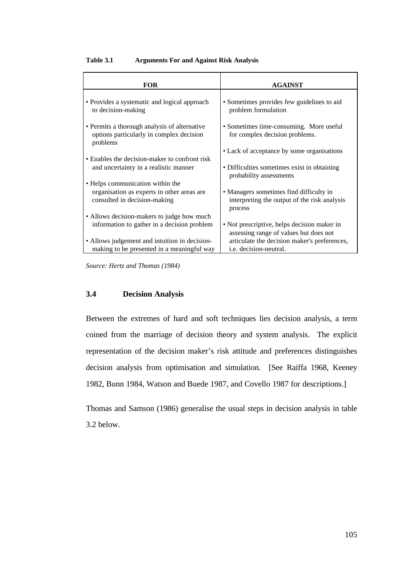| <b>FOR</b>                                                                                           | <b>AGAINST</b>                                                                        |
|------------------------------------------------------------------------------------------------------|---------------------------------------------------------------------------------------|
| • Provides a systematic and logical approach<br>to decision-making                                   | • Sometimes provides few guidelines to aid<br>problem formulation                     |
| • Permits a thorough analysis of alternative<br>options particularly in complex decision<br>problems | • Sometimes time-consuming. More useful<br>for complex decision problems.             |
|                                                                                                      | • Lack of acceptance by some organisations                                            |
| • Enables the decision-maker to confront risk                                                        |                                                                                       |
| and uncertainty in a realistic manner                                                                | • Difficulties sometimes exist in obtaining<br>probability assessments                |
| • Helps communication within the                                                                     |                                                                                       |
| organisation as experts in other areas are                                                           | • Managers sometimes find difficulty in                                               |
| consulted in decision-making                                                                         | interpreting the output of the risk analysis<br>process                               |
| • Allows decision-makers to judge how much                                                           |                                                                                       |
| information to gather in a decision problem                                                          | • Not prescriptive, helps decision maker in<br>assessing range of values but does not |
| • Allows judgement and intuition in decision-                                                        | articulate the decision maker's preferences,                                          |
| making to be presented in a meaningful way                                                           | <i>i.e.</i> decision-neutral.                                                         |

# **Table 3.1 Arguments For and Against Risk Analysis**

*Source: Hertz and Thomas (1984)*

# **3.4 Decision Analysis**

Between the extremes of hard and soft techniques lies decision analysis, a term coined from the marriage of decision theory and system analysis. The explicit representation of the decision maker's risk attitude and preferences distinguishes decision analysis from optimisation and simulation. [See Raiffa 1968, Keeney 1982, Bunn 1984, Watson and Buede 1987, and Covello 1987 for descriptions.]

Thomas and Samson (1986) generalise the usual steps in decision analysis in table 3.2 below.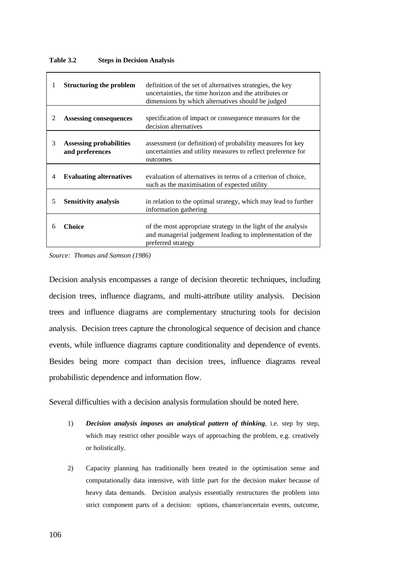### **Table 3.2 Steps in Decision Analysis**

| 1 | <b>Structuring the problem</b>                    | definition of the set of alternatives strategies, the key<br>uncertainties, the time horizon and the attributes or<br>dimensions by which alternatives should be judged |
|---|---------------------------------------------------|-------------------------------------------------------------------------------------------------------------------------------------------------------------------------|
| 2 | <b>Assessing consequences</b>                     | specification of impact or consequence measures for the<br>decision alternatives                                                                                        |
| 3 | <b>Assessing probabilities</b><br>and preferences | assessment (or definition) of probability measures for key<br>uncertainties and utility measures to reflect preference for<br>outcomes                                  |
| 4 | <b>Evaluating alternatives</b>                    | evaluation of alternatives in terms of a criterion of choice,<br>such as the maximisation of expected utility                                                           |
| 5 | <b>Sensitivity analysis</b>                       | in relation to the optimal strategy, which may lead to further<br>information gathering                                                                                 |
| 6 | Choice                                            | of the most appropriate strategy in the light of the analysis<br>and managerial judgement leading to implementation of the<br>preferred strategy                        |

*Source: Thomas and Samson (1986)*

Decision analysis encompasses a range of decision theoretic techniques, including decision trees, influence diagrams, and multi-attribute utility analysis. Decision trees and influence diagrams are complementary structuring tools for decision analysis. Decision trees capture the chronological sequence of decision and chance events, while influence diagrams capture conditionality and dependence of events. Besides being more compact than decision trees, influence diagrams reveal probabilistic dependence and information flow.

Several difficulties with a decision analysis formulation should be noted here.

- 1) *Decision analysis imposes an analytical pattern of thinking*, i.e. step by step, which may restrict other possible ways of approaching the problem, e.g. creatively or holistically.
- 2) Capacity planning has traditionally been treated in the optimisation sense and computationally data intensive, with little part for the decision maker because of heavy data demands. Decision analysis essentially restructures the problem into strict component parts of a decision: options, chance/uncertain events, outcome,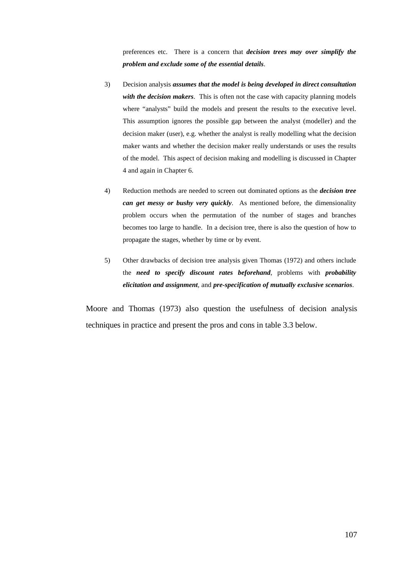preferences etc. There is a concern that *decision trees may over simplify the problem and exclude some of the essential details*.

- 3) Decision analysis *assumes that the model is being developed in direct consultation with the decision makers*. This is often not the case with capacity planning models where "analysts" build the models and present the results to the executive level. This assumption ignores the possible gap between the analyst (modeller) and the decision maker (user), e.g. whether the analyst is really modelling what the decision maker wants and whether the decision maker really understands or uses the results of the model. This aspect of decision making and modelling is discussed in Chapter 4 and again in Chapter 6.
- 4) Reduction methods are needed to screen out dominated options as the *decision tree can get messy or bushy very quickly*. As mentioned before, the dimensionality problem occurs when the permutation of the number of stages and branches becomes too large to handle. In a decision tree, there is also the question of how to propagate the stages, whether by time or by event.
- 5) Other drawbacks of decision tree analysis given Thomas (1972) and others include the *need to specify discount rates beforehand*, problems with *probability elicitation and assignment*, and *pre-specification of mutually exclusive scenarios*.

Moore and Thomas (1973) also question the usefulness of decision analysis techniques in practice and present the pros and cons in table 3.3 below.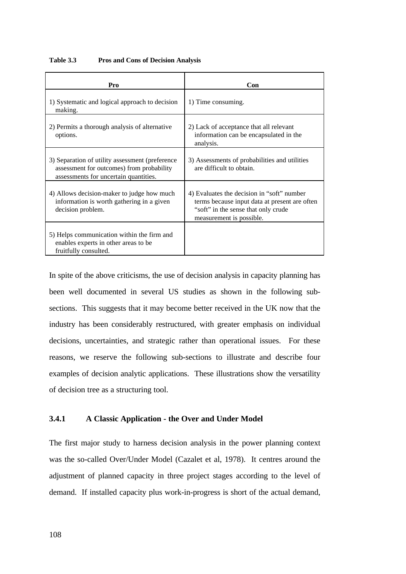| Pro                                                                                                                                   | Con                                                                                                                                                            |
|---------------------------------------------------------------------------------------------------------------------------------------|----------------------------------------------------------------------------------------------------------------------------------------------------------------|
| 1) Systematic and logical approach to decision<br>making.                                                                             | 1) Time consuming.                                                                                                                                             |
| 2) Permits a thorough analysis of alternative<br>options.                                                                             | 2) Lack of acceptance that all relevant<br>information can be encapsulated in the<br>analysis.                                                                 |
| 3) Separation of utility assessment (preference<br>assessment for outcomes) from probability<br>assessments for uncertain quantities. | 3) Assessments of probabilities and utilities<br>are difficult to obtain.                                                                                      |
| 4) Allows decision-maker to judge how much<br>information is worth gathering in a given<br>decision problem.                          | 4) Evaluates the decision in "soft" number<br>terms because input data at present are often<br>"soft" in the sense that only crude<br>measurement is possible. |
| 5) Helps communication within the firm and<br>enables experts in other areas to be<br>fruitfully consulted.                           |                                                                                                                                                                |

**Table 3.3 Pros and Cons of Decision Analysis**

In spite of the above criticisms, the use of decision analysis in capacity planning has been well documented in several US studies as shown in the following subsections. This suggests that it may become better received in the UK now that the industry has been considerably restructured, with greater emphasis on individual decisions, uncertainties, and strategic rather than operational issues. For these reasons, we reserve the following sub-sections to illustrate and describe four examples of decision analytic applications. These illustrations show the versatility of decision tree as a structuring tool.

# **3.4.1 A Classic Application - the Over and Under Model**

The first major study to harness decision analysis in the power planning context was the so-called Over/Under Model (Cazalet et al, 1978). It centres around the adjustment of planned capacity in three project stages according to the level of demand. If installed capacity plus work-in-progress is short of the actual demand,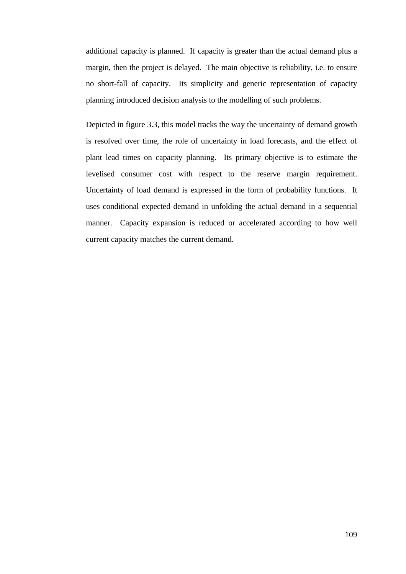additional capacity is planned. If capacity is greater than the actual demand plus a margin, then the project is delayed. The main objective is reliability, i.e. to ensure no short-fall of capacity. Its simplicity and generic representation of capacity planning introduced decision analysis to the modelling of such problems.

Depicted in figure 3.3, this model tracks the way the uncertainty of demand growth is resolved over time, the role of uncertainty in load forecasts, and the effect of plant lead times on capacity planning. Its primary objective is to estimate the levelised consumer cost with respect to the reserve margin requirement. Uncertainty of load demand is expressed in the form of probability functions. It uses conditional expected demand in unfolding the actual demand in a sequential manner. Capacity expansion is reduced or accelerated according to how well current capacity matches the current demand.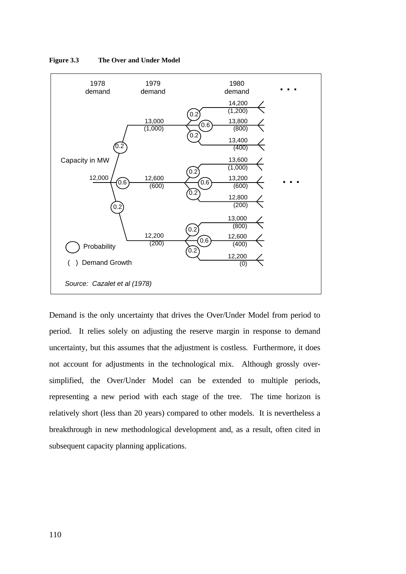

**Figure 3.3 The Over and Under Model**

Demand is the only uncertainty that drives the Over/Under Model from period to period. It relies solely on adjusting the reserve margin in response to demand uncertainty, but this assumes that the adjustment is costless. Furthermore, it does not account for adjustments in the technological mix. Although grossly oversimplified, the Over/Under Model can be extended to multiple periods, representing a new period with each stage of the tree. The time horizon is relatively short (less than 20 years) compared to other models. It is nevertheless a breakthrough in new methodological development and, as a result, often cited in subsequent capacity planning applications.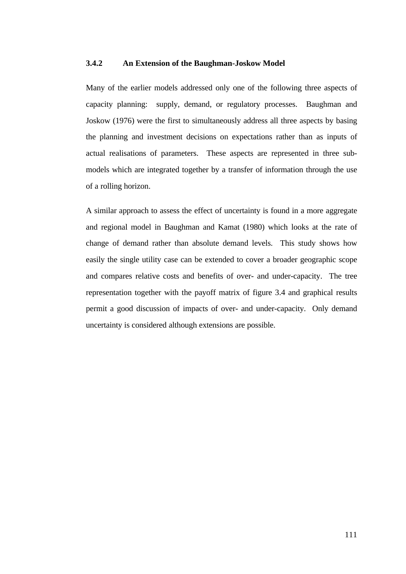# **3.4.2 An Extension of the Baughman-Joskow Model**

Many of the earlier models addressed only one of the following three aspects of capacity planning: supply, demand, or regulatory processes. Baughman and Joskow (1976) were the first to simultaneously address all three aspects by basing the planning and investment decisions on expectations rather than as inputs of actual realisations of parameters. These aspects are represented in three submodels which are integrated together by a transfer of information through the use of a rolling horizon.

A similar approach to assess the effect of uncertainty is found in a more aggregate and regional model in Baughman and Kamat (1980) which looks at the rate of change of demand rather than absolute demand levels. This study shows how easily the single utility case can be extended to cover a broader geographic scope and compares relative costs and benefits of over- and under-capacity. The tree representation together with the payoff matrix of figure 3.4 and graphical results permit a good discussion of impacts of over- and under-capacity. Only demand uncertainty is considered although extensions are possible.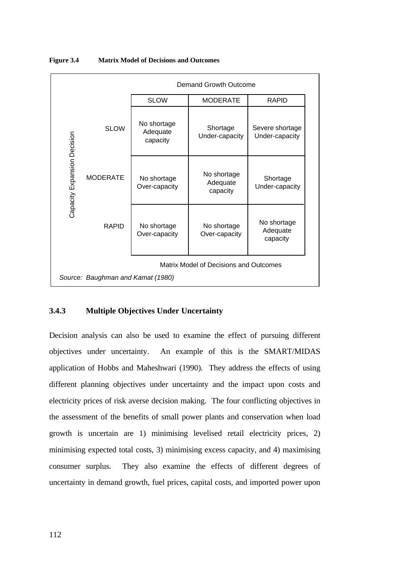

**Figure 3.4 Matrix Model of Decisions and Outcomes**

# **3.4.3 Multiple Objectives Under Uncertainty**

Decision analysis can also be used to examine the effect of pursuing different objectives under uncertainty. An example of this is the SMART/MIDAS application of Hobbs and Maheshwari (1990). They address the effects of using different planning objectives under uncertainty and the impact upon costs and electricity prices of risk averse decision making. The four conflicting objectives in the assessment of the benefits of small power plants and conservation when load growth is uncertain are 1) minimising levelised retail electricity prices, 2) minimising expected total costs, 3) minimising excess capacity, and 4) maximising consumer surplus. They also examine the effects of different degrees of uncertainty in demand growth, fuel prices, capital costs, and imported power upon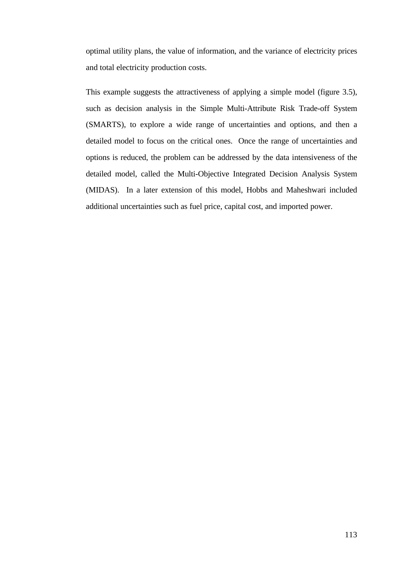optimal utility plans, the value of information, and the variance of electricity prices and total electricity production costs.

This example suggests the attractiveness of applying a simple model (figure 3.5), such as decision analysis in the Simple Multi-Attribute Risk Trade-off System (SMARTS), to explore a wide range of uncertainties and options, and then a detailed model to focus on the critical ones. Once the range of uncertainties and options is reduced, the problem can be addressed by the data intensiveness of the detailed model, called the Multi-Objective Integrated Decision Analysis System (MIDAS). In a later extension of this model, Hobbs and Maheshwari included additional uncertainties such as fuel price, capital cost, and imported power.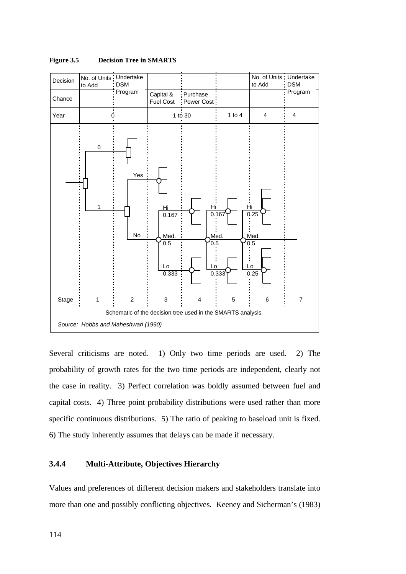

**Figure 3.5 Decision Tree in SMARTS**

Several criticisms are noted. 1) Only two time periods are used. 2) The probability of growth rates for the two time periods are independent, clearly not the case in reality. 3) Perfect correlation was boldly assumed between fuel and capital costs. 4) Three point probability distributions were used rather than more specific continuous distributions. 5) The ratio of peaking to baseload unit is fixed. 6) The study inherently assumes that delays can be made if necessary.

# **3.4.4 Multi-Attribute, Objectives Hierarchy**

Values and preferences of different decision makers and stakeholders translate into more than one and possibly conflicting objectives. Keeney and Sicherman's (1983)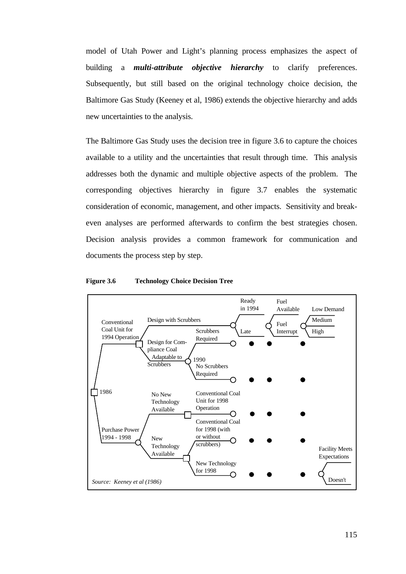model of Utah Power and Light's planning process emphasizes the aspect of building a *multi-attribute objective hierarchy* to clarify preferences. Subsequently, but still based on the original technology choice decision, the Baltimore Gas Study (Keeney et al, 1986) extends the objective hierarchy and adds new uncertainties to the analysis.

The Baltimore Gas Study uses the decision tree in figure 3.6 to capture the choices available to a utility and the uncertainties that result through time. This analysis addresses both the dynamic and multiple objective aspects of the problem. The corresponding objectives hierarchy in figure 3.7 enables the systematic consideration of economic, management, and other impacts. Sensitivity and breakeven analyses are performed afterwards to confirm the best strategies chosen. Decision analysis provides a common framework for communication and documents the process step by step.



**Figure 3.6 Technology Choice Decision Tree**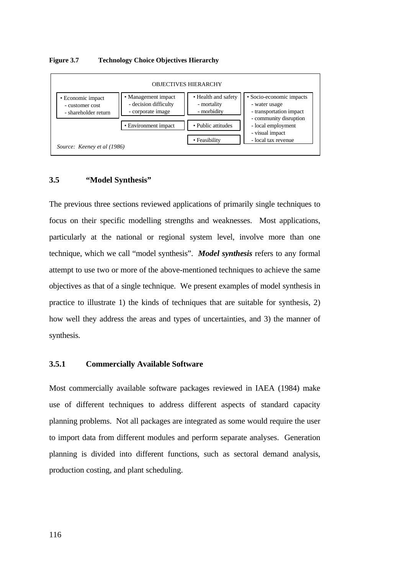## **Figure 3.7 Technology Choice Objectives Hierarchy**



## **3.5 "Model Synthesis"**

The previous three sections reviewed applications of primarily single techniques to focus on their specific modelling strengths and weaknesses. Most applications, particularly at the national or regional system level, involve more than one technique, which we call "model synthesis". *Model synthesis* refers to any formal attempt to use two or more of the above-mentioned techniques to achieve the same objectives as that of a single technique. We present examples of model synthesis in practice to illustrate 1) the kinds of techniques that are suitable for synthesis, 2) how well they address the areas and types of uncertainties, and 3) the manner of synthesis.

# **3.5.1 Commercially Available Software**

Most commercially available software packages reviewed in IAEA (1984) make use of different techniques to address different aspects of standard capacity planning problems. Not all packages are integrated as some would require the user to import data from different modules and perform separate analyses. Generation planning is divided into different functions, such as sectoral demand analysis, production costing, and plant scheduling.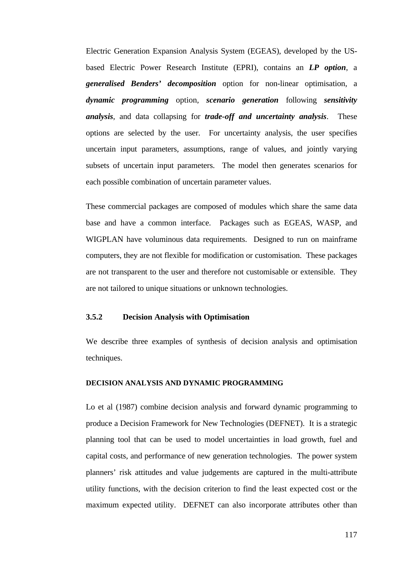Electric Generation Expansion Analysis System (EGEAS), developed by the USbased Electric Power Research Institute (EPRI), contains an *LP option*, a *generalised Benders' decomposition* option for non-linear optimisation, a *dynamic programming* option, *scenario generation* following *sensitivity analysis*, and data collapsing for *trade-off and uncertainty analysis*. These options are selected by the user. For uncertainty analysis, the user specifies uncertain input parameters, assumptions, range of values, and jointly varying subsets of uncertain input parameters. The model then generates scenarios for each possible combination of uncertain parameter values.

These commercial packages are composed of modules which share the same data base and have a common interface. Packages such as EGEAS, WASP, and WIGPLAN have voluminous data requirements. Designed to run on mainframe computers, they are not flexible for modification or customisation. These packages are not transparent to the user and therefore not customisable or extensible. They are not tailored to unique situations or unknown technologies.

# **3.5.2 Decision Analysis with Optimisation**

We describe three examples of synthesis of decision analysis and optimisation techniques.

### **DECISION ANALYSIS AND DYNAMIC PROGRAMMING**

Lo et al (1987) combine decision analysis and forward dynamic programming to produce a Decision Framework for New Technologies (DEFNET). It is a strategic planning tool that can be used to model uncertainties in load growth, fuel and capital costs, and performance of new generation technologies. The power system planners' risk attitudes and value judgements are captured in the multi-attribute utility functions, with the decision criterion to find the least expected cost or the maximum expected utility. DEFNET can also incorporate attributes other than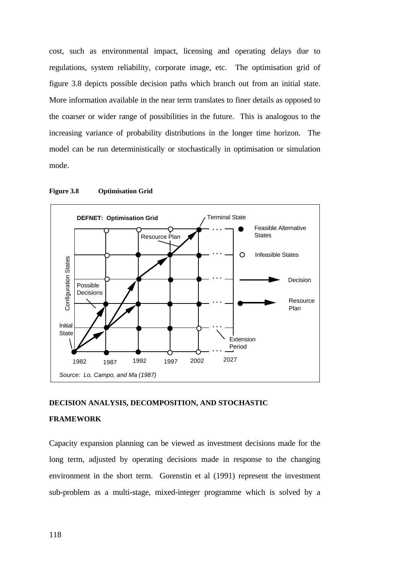cost, such as environmental impact, licensing and operating delays due to regulations, system reliability, corporate image, etc. The optimisation grid of figure 3.8 depicts possible decision paths which branch out from an initial state. More information available in the near term translates to finer details as opposed to the coarser or wider range of possibilities in the future. This is analogous to the increasing variance of probability distributions in the longer time horizon. The model can be run deterministically or stochastically in optimisation or simulation mode.



**Figure 3.8 Optimisation Grid**

## **DECISION ANALYSIS, DECOMPOSITION, AND STOCHASTIC**

#### **FRAMEWORK**

Capacity expansion planning can be viewed as investment decisions made for the long term, adjusted by operating decisions made in response to the changing environment in the short term. Gorenstin et al (1991) represent the investment sub-problem as a multi-stage, mixed-integer programme which is solved by a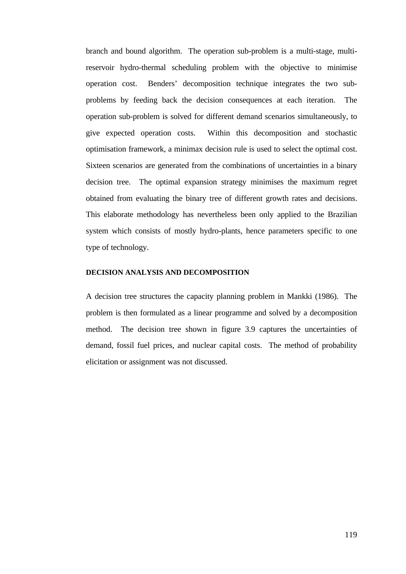branch and bound algorithm. The operation sub-problem is a multi-stage, multireservoir hydro-thermal scheduling problem with the objective to minimise operation cost. Benders' decomposition technique integrates the two subproblems by feeding back the decision consequences at each iteration. The operation sub-problem is solved for different demand scenarios simultaneously, to give expected operation costs. Within this decomposition and stochastic optimisation framework, a minimax decision rule is used to select the optimal cost. Sixteen scenarios are generated from the combinations of uncertainties in a binary decision tree. The optimal expansion strategy minimises the maximum regret obtained from evaluating the binary tree of different growth rates and decisions. This elaborate methodology has nevertheless been only applied to the Brazilian system which consists of mostly hydro-plants, hence parameters specific to one type of technology.

## **DECISION ANALYSIS AND DECOMPOSITION**

A decision tree structures the capacity planning problem in Mankki (1986). The problem is then formulated as a linear programme and solved by a decomposition method. The decision tree shown in figure 3.9 captures the uncertainties of demand, fossil fuel prices, and nuclear capital costs. The method of probability elicitation or assignment was not discussed.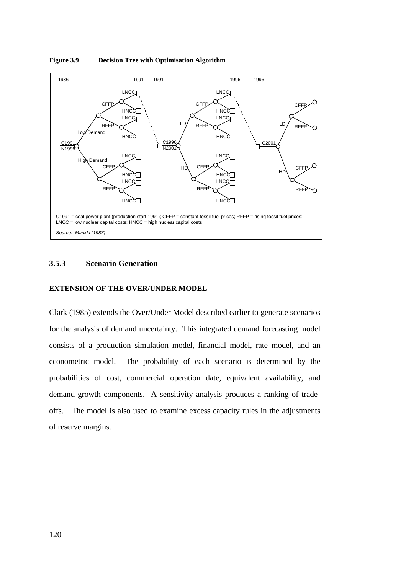

**Figure 3.9 Decision Tree with Optimisation Algorithm**

# **3.5.3 Scenario Generation**

## **EXTENSION OF THE OVER/UNDER MODEL**

Clark (1985) extends the Over/Under Model described earlier to generate scenarios for the analysis of demand uncertainty. This integrated demand forecasting model consists of a production simulation model, financial model, rate model, and an econometric model. The probability of each scenario is determined by the probabilities of cost, commercial operation date, equivalent availability, and demand growth components. A sensitivity analysis produces a ranking of tradeoffs. The model is also used to examine excess capacity rules in the adjustments of reserve margins.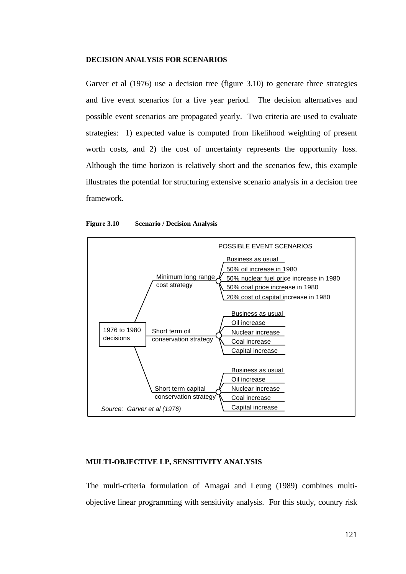## **DECISION ANALYSIS FOR SCENARIOS**

Garver et al (1976) use a decision tree (figure 3.10) to generate three strategies and five event scenarios for a five year period. The decision alternatives and possible event scenarios are propagated yearly. Two criteria are used to evaluate strategies: 1) expected value is computed from likelihood weighting of present worth costs, and 2) the cost of uncertainty represents the opportunity loss. Although the time horizon is relatively short and the scenarios few, this example illustrates the potential for structuring extensive scenario analysis in a decision tree framework.



#### **Figure 3.10 Scenario / Decision Analysis**

## **MULTI-OBJECTIVE LP, SENSITIVITY ANALYSIS**

The multi-criteria formulation of Amagai and Leung (1989) combines multiobjective linear programming with sensitivity analysis. For this study, country risk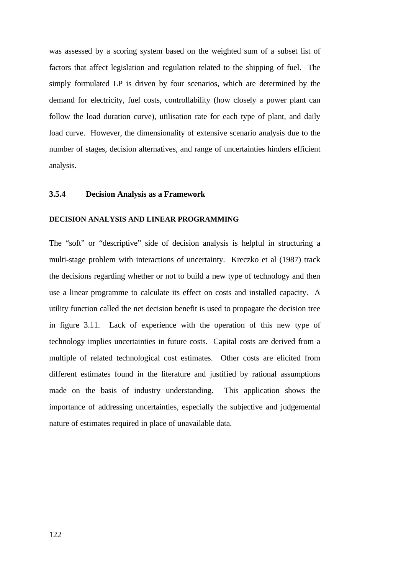was assessed by a scoring system based on the weighted sum of a subset list of factors that affect legislation and regulation related to the shipping of fuel. The simply formulated LP is driven by four scenarios, which are determined by the demand for electricity, fuel costs, controllability (how closely a power plant can follow the load duration curve), utilisation rate for each type of plant, and daily load curve. However, the dimensionality of extensive scenario analysis due to the number of stages, decision alternatives, and range of uncertainties hinders efficient analysis.

# **3.5.4 Decision Analysis as a Framework**

## **DECISION ANALYSIS AND LINEAR PROGRAMMING**

The "soft" or "descriptive" side of decision analysis is helpful in structuring a multi-stage problem with interactions of uncertainty. Kreczko et al (1987) track the decisions regarding whether or not to build a new type of technology and then use a linear programme to calculate its effect on costs and installed capacity. A utility function called the net decision benefit is used to propagate the decision tree in figure 3.11. Lack of experience with the operation of this new type of technology implies uncertainties in future costs. Capital costs are derived from a multiple of related technological cost estimates. Other costs are elicited from different estimates found in the literature and justified by rational assumptions made on the basis of industry understanding. This application shows the importance of addressing uncertainties, especially the subjective and judgemental nature of estimates required in place of unavailable data.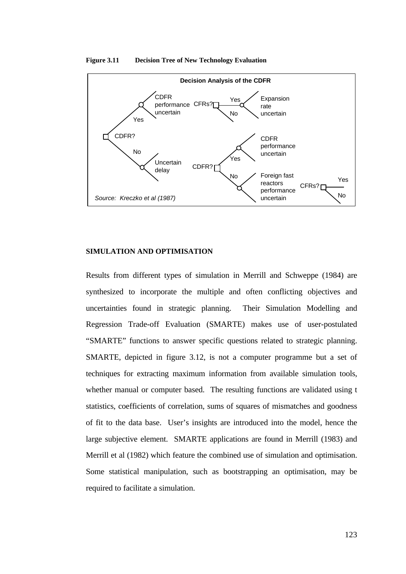

#### **Figure 3.11 Decision Tree of New Technology Evaluation**

## **SIMULATION AND OPTIMISATION**

Results from different types of simulation in Merrill and Schweppe (1984) are synthesized to incorporate the multiple and often conflicting objectives and uncertainties found in strategic planning. Their Simulation Modelling and Regression Trade-off Evaluation (SMARTE) makes use of user-postulated "SMARTE" functions to answer specific questions related to strategic planning. SMARTE, depicted in figure 3.12, is not a computer programme but a set of techniques for extracting maximum information from available simulation tools, whether manual or computer based. The resulting functions are validated using t statistics, coefficients of correlation, sums of squares of mismatches and goodness of fit to the data base. User's insights are introduced into the model, hence the large subjective element. SMARTE applications are found in Merrill (1983) and Merrill et al (1982) which feature the combined use of simulation and optimisation. Some statistical manipulation, such as bootstrapping an optimisation, may be required to facilitate a simulation.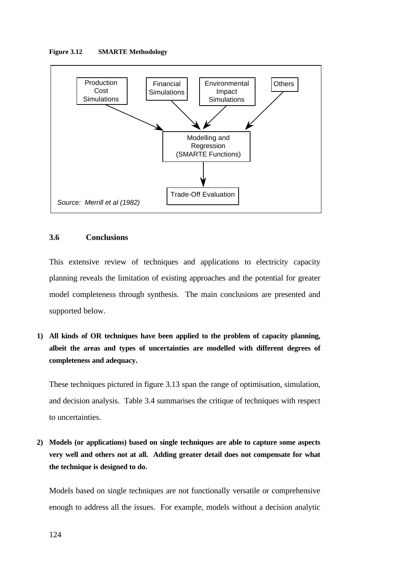## **Figure 3.12 SMARTE Methodology**



# **3.6 Conclusions**

This extensive review of techniques and applications to electricity capacity planning reveals the limitation of existing approaches and the potential for greater model completeness through synthesis. The main conclusions are presented and supported below.

**1) All kinds of OR techniques have been applied to the problem of capacity planning, albeit the areas and types of uncertainties are modelled with different degrees of completeness and adequacy.**

These techniques pictured in figure 3.13 span the range of optimisation, simulation, and decision analysis. Table 3.4 summarises the critique of techniques with respect to uncertainties.

**2) Models (or applications) based on single techniques are able to capture some aspects very well and others not at all. Adding greater detail does not compensate for what the technique is designed to do.**

Models based on single techniques are not functionally versatile or comprehensive enough to address all the issues. For example, models without a decision analytic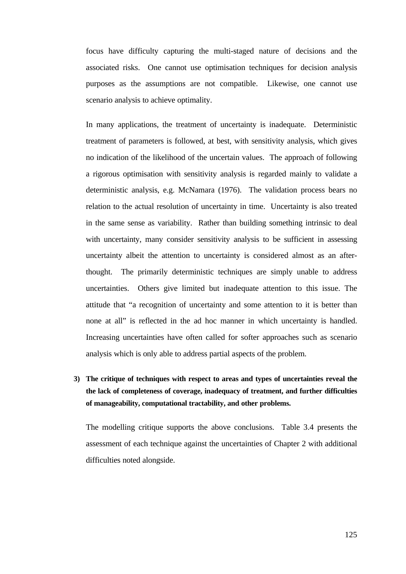focus have difficulty capturing the multi-staged nature of decisions and the associated risks. One cannot use optimisation techniques for decision analysis purposes as the assumptions are not compatible. Likewise, one cannot use scenario analysis to achieve optimality.

In many applications, the treatment of uncertainty is inadequate. Deterministic treatment of parameters is followed, at best, with sensitivity analysis, which gives no indication of the likelihood of the uncertain values. The approach of following a rigorous optimisation with sensitivity analysis is regarded mainly to validate a deterministic analysis, e.g. McNamara (1976). The validation process bears no relation to the actual resolution of uncertainty in time. Uncertainty is also treated in the same sense as variability. Rather than building something intrinsic to deal with uncertainty, many consider sensitivity analysis to be sufficient in assessing uncertainty albeit the attention to uncertainty is considered almost as an afterthought. The primarily deterministic techniques are simply unable to address uncertainties. Others give limited but inadequate attention to this issue. The attitude that "a recognition of uncertainty and some attention to it is better than none at all" is reflected in the ad hoc manner in which uncertainty is handled. Increasing uncertainties have often called for softer approaches such as scenario analysis which is only able to address partial aspects of the problem.

# **3) The critique of techniques with respect to areas and types of uncertainties reveal the the lack of completeness of coverage, inadequacy of treatment, and further difficulties of manageability, computational tractability, and other problems.**

The modelling critique supports the above conclusions. Table 3.4 presents the assessment of each technique against the uncertainties of Chapter 2 with additional difficulties noted alongside.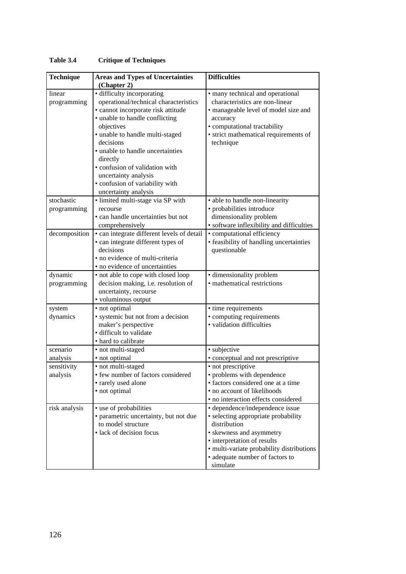| <b>Technique</b> | <b>Areas and Types of Uncertainties</b>    | <b>Difficulties</b>                       |
|------------------|--------------------------------------------|-------------------------------------------|
|                  | (Chapter 2)                                |                                           |
| linear           | • difficulty incorporating                 | · many technical and operational          |
| programming      | operational/technical characteristics      | characteristics are non-linear            |
|                  | · cannot incorporate risk attitude         | · manageable level of model size and      |
|                  | • unable to handle conflicting             | accuracy                                  |
|                  | objectives                                 | · computational tractability              |
|                  | · unable to handle multi-staged            | · strict mathematical requirements of     |
|                  | decisions                                  | technique                                 |
|                  | • unable to handle uncertainties           |                                           |
|                  | directly                                   |                                           |
|                  | · confusion of validation with             |                                           |
|                  | uncertainty analysis                       |                                           |
|                  | · confusion of variability with            |                                           |
|                  | uncertainty analysis                       |                                           |
| stochastic       | · limited multi-stage via SP with          | • able to handle non-linearity            |
| programming      | recourse                                   | • probabilities introduce                 |
|                  | • can handle uncertainties but not         | dimensionality problem                    |
|                  | comprehensively                            | · software inflexibility and difficulties |
| decomposition    | • can integrate different levels of detail | · computational efficiency                |
|                  | • can integrate different types of         | · feasibility of handling uncertainties   |
|                  | decisions                                  | questionable                              |
|                  | · no evidence of multi-criteria            |                                           |
|                  | · no evidence of uncertainties             |                                           |
| dynamic          | • not able to cope with closed loop        | · dimensionality problem                  |
| programming      | decision making, i.e. resolution of        | • mathematical restrictions               |
|                  | uncertainty, recourse                      |                                           |
|                  | · voluminous output                        |                                           |
| system           | · not optimal                              | • time requirements                       |
| dynamics         | · systemic but not from a decision         | • computing requirements                  |
|                  | maker's perspective                        | · validation difficulties                 |
|                  | · difficult to validate                    |                                           |
|                  | • hard to calibrate                        |                                           |
| scenario         | • not multi-staged                         | · subjective                              |
| analysis         | · not optimal                              | • conceptual and not prescriptive         |
| sensitivity      | · not multi-staged                         | • not prescriptive                        |
| analysis         | · few number of factors considered         | • problems with dependence                |
|                  | • rarely used alone                        | · factors considered one at a time        |
|                  | • not optimal                              | • no account of likelihoods               |
|                  |                                            | · no interaction effects considered       |
| risk analysis    | • use of probabilities                     | • dependence/independence issue           |
|                  | · parametric uncertainty, but not due      | • selecting appropriate probability       |
|                  | to model structure                         | distribution                              |
|                  | · lack of decision focus                   | • skewness and asymmetry                  |
|                  |                                            | • interpretation of results               |
|                  |                                            | · multi-variate probability distributions |
|                  |                                            | • adequate number of factors to           |
|                  |                                            | simulate                                  |

# **Table 3.4 Critique of Techniques**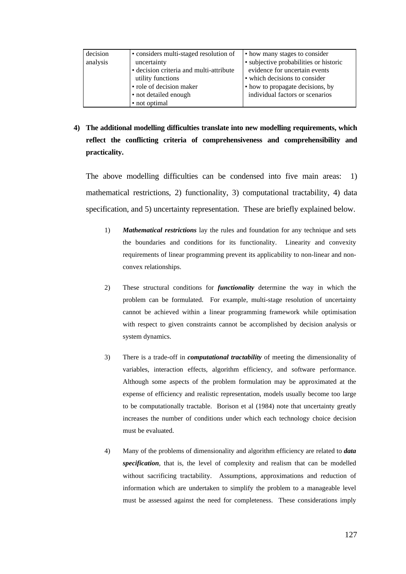| decision | • considers multi-staged resolution of  | • how many stages to consider          |
|----------|-----------------------------------------|----------------------------------------|
| analysis | uncertainty                             | • subjective probabilities or historic |
|          | • decision criteria and multi-attribute | evidence for uncertain events          |
|          | utility functions                       | • which decisions to consider          |
|          | · role of decision maker                | • how to propagate decisions, by       |
|          | • not detailed enough                   | individual factors or scenarios        |
|          | • not optimal                           |                                        |

**4) The additional modelling difficulties translate into new modelling requirements, which reflect the conflicting criteria of comprehensiveness and comprehensibility and practicality.**

The above modelling difficulties can be condensed into five main areas: 1) mathematical restrictions, 2) functionality, 3) computational tractability, 4) data specification, and 5) uncertainty representation. These are briefly explained below.

- 1) *Mathematical restrictions* lay the rules and foundation for any technique and sets the boundaries and conditions for its functionality. Linearity and convexity requirements of linear programming prevent its applicability to non-linear and nonconvex relationships.
- 2) These structural conditions for *functionality* determine the way in which the problem can be formulated. For example, multi-stage resolution of uncertainty cannot be achieved within a linear programming framework while optimisation with respect to given constraints cannot be accomplished by decision analysis or system dynamics.
- 3) There is a trade-off in *computational tractability* of meeting the dimensionality of variables, interaction effects, algorithm efficiency, and software performance. Although some aspects of the problem formulation may be approximated at the expense of efficiency and realistic representation, models usually become too large to be computationally tractable. Borison et al (1984) note that uncertainty greatly increases the number of conditions under which each technology choice decision must be evaluated.
- 4) Many of the problems of dimensionality and algorithm efficiency are related to *data specification*, that is, the level of complexity and realism that can be modelled without sacrificing tractability. Assumptions, approximations and reduction of information which are undertaken to simplify the problem to a manageable level must be assessed against the need for completeness. These considerations imply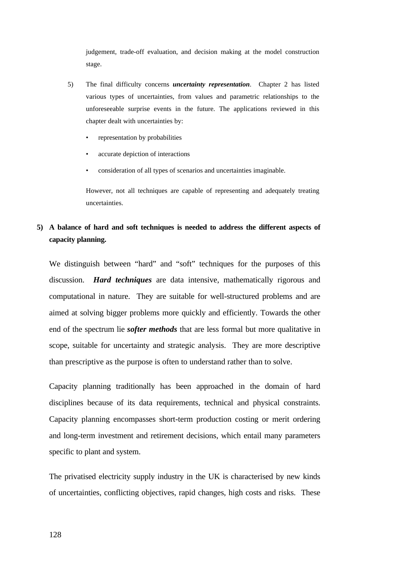judgement, trade-off evaluation, and decision making at the model construction stage.

- 5) The final difficulty concerns *uncertainty representation*. Chapter 2 has listed various types of uncertainties, from values and parametric relationships to the unforeseeable surprise events in the future. The applications reviewed in this chapter dealt with uncertainties by:
	- representation by probabilities
	- accurate depiction of interactions
	- consideration of all types of scenarios and uncertainties imaginable.

However, not all techniques are capable of representing and adequately treating uncertainties.

# **5) A balance of hard and soft techniques is needed to address the different aspects of capacity planning.**

We distinguish between "hard" and "soft" techniques for the purposes of this discussion. *Hard techniques* are data intensive, mathematically rigorous and computational in nature. They are suitable for well-structured problems and are aimed at solving bigger problems more quickly and efficiently. Towards the other end of the spectrum lie *softer methods* that are less formal but more qualitative in scope, suitable for uncertainty and strategic analysis. They are more descriptive than prescriptive as the purpose is often to understand rather than to solve.

Capacity planning traditionally has been approached in the domain of hard disciplines because of its data requirements, technical and physical constraints. Capacity planning encompasses short-term production costing or merit ordering and long-term investment and retirement decisions, which entail many parameters specific to plant and system.

The privatised electricity supply industry in the UK is characterised by new kinds of uncertainties, conflicting objectives, rapid changes, high costs and risks. These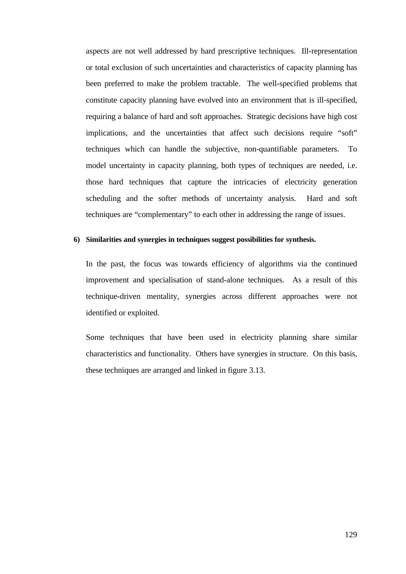aspects are not well addressed by hard prescriptive techniques. Ill-representation or total exclusion of such uncertainties and characteristics of capacity planning has been preferred to make the problem tractable. The well-specified problems that constitute capacity planning have evolved into an environment that is ill-specified, requiring a balance of hard and soft approaches. Strategic decisions have high cost implications, and the uncertainties that affect such decisions require "soft" techniques which can handle the subjective, non-quantifiable parameters. To model uncertainty in capacity planning, both types of techniques are needed, i.e. those hard techniques that capture the intricacies of electricity generation scheduling and the softer methods of uncertainty analysis. Hard and soft techniques are "complementary" to each other in addressing the range of issues.

## **6) Similarities and synergies in techniques suggest possibilities for synthesis.**

In the past, the focus was towards efficiency of algorithms via the continued improvement and specialisation of stand-alone techniques. As a result of this technique-driven mentality, synergies across different approaches were not identified or exploited.

Some techniques that have been used in electricity planning share similar characteristics and functionality. Others have synergies in structure. On this basis, these techniques are arranged and linked in figure 3.13.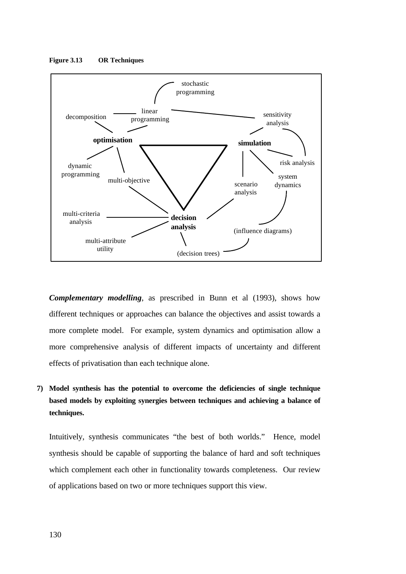

**Figure 3.13 OR Techniques**

*Complementary modelling*, as prescribed in Bunn et al (1993), shows how different techniques or approaches can balance the objectives and assist towards a more complete model. For example, system dynamics and optimisation allow a more comprehensive analysis of different impacts of uncertainty and different effects of privatisation than each technique alone.

**7) Model synthesis has the potential to overcome the deficiencies of single technique based models by exploiting synergies between techniques and achieving a balance of techniques.**

Intuitively, synthesis communicates "the best of both worlds." Hence, model synthesis should be capable of supporting the balance of hard and soft techniques which complement each other in functionality towards completeness. Our review of applications based on two or more techniques support this view.